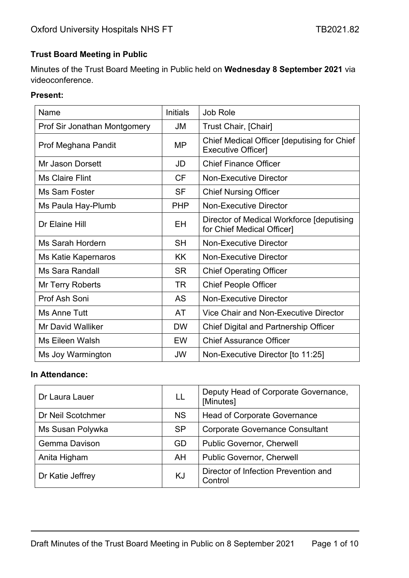## **Trust Board Meeting in Public**

Minutes of the Trust Board Meeting in Public held on **Wednesday 8 September 2021** via videoconference.

#### **Present:**

| Name                         | <b>Initials</b> | Job Role                                                                 |
|------------------------------|-----------------|--------------------------------------------------------------------------|
| Prof Sir Jonathan Montgomery | <b>JM</b>       | Trust Chair, [Chair]                                                     |
| Prof Meghana Pandit          | MΡ              | Chief Medical Officer [deputising for Chief<br><b>Executive Officer]</b> |
| Mr Jason Dorsett             | JD              | <b>Chief Finance Officer</b>                                             |
| <b>Ms Claire Flint</b>       | <b>CF</b>       | <b>Non-Executive Director</b>                                            |
| Ms Sam Foster                | <b>SF</b>       | <b>Chief Nursing Officer</b>                                             |
| Ms Paula Hay-Plumb           | <b>PHP</b>      | <b>Non-Executive Director</b>                                            |
| Dr Elaine Hill               | ΕH              | Director of Medical Workforce [deputising]<br>for Chief Medical Officer] |
| Ms Sarah Hordern             | <b>SH</b>       | <b>Non-Executive Director</b>                                            |
| Ms Katie Kapernaros          | <b>KK</b>       | <b>Non-Executive Director</b>                                            |
| Ms Sara Randall              | <b>SR</b>       | <b>Chief Operating Officer</b>                                           |
| Mr Terry Roberts             | <b>TR</b>       | <b>Chief People Officer</b>                                              |
| Prof Ash Soni                | <b>AS</b>       | <b>Non-Executive Director</b>                                            |
| Ms Anne Tutt                 | AT              | Vice Chair and Non-Executive Director                                    |
| <b>Mr David Walliker</b>     | <b>DW</b>       | <b>Chief Digital and Partnership Officer</b>                             |
| Ms Eileen Walsh              | EW              | <b>Chief Assurance Officer</b>                                           |
| Ms Joy Warmington            | JW              | Non-Executive Director [to 11:25]                                        |

#### **In Attendance:**

| Dr Laura Lauer       | LL        | Deputy Head of Corporate Governance,<br>[Minutes] |
|----------------------|-----------|---------------------------------------------------|
| Dr Neil Scotchmer    | <b>NS</b> | <b>Head of Corporate Governance</b>               |
| Ms Susan Polywka     | <b>SP</b> | <b>Corporate Governance Consultant</b>            |
| <b>Gemma Davison</b> | GD        | <b>Public Governor, Cherwell</b>                  |
| Anita Higham         | AH        | <b>Public Governor, Cherwell</b>                  |
| Dr Katie Jeffrey     | KJ        | Director of Infection Prevention and<br>Control   |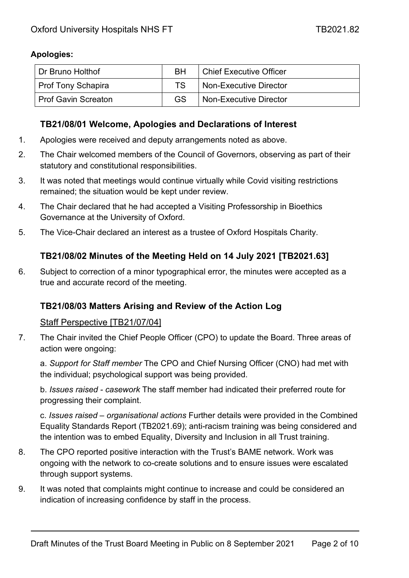## **Apologies:**

| Dr Bruno Holthof           | <b>RH</b> | <b>Chief Executive Officer</b> |
|----------------------------|-----------|--------------------------------|
| <b>Prof Tony Schapira</b>  | TS.       | Non-Executive Director         |
| <b>Prof Gavin Screaton</b> | GS        | Non-Executive Director         |

## **TB21/08/01 Welcome, Apologies and Declarations of Interest**

- 1. Apologies were received and deputy arrangements noted as above.
- 2. The Chair welcomed members of the Council of Governors, observing as part of their statutory and constitutional responsibilities.
- 3. It was noted that meetings would continue virtually while Covid visiting restrictions remained; the situation would be kept under review.
- 4. The Chair declared that he had accepted a Visiting Professorship in Bioethics Governance at the University of Oxford.
- 5. The Vice-Chair declared an interest as a trustee of Oxford Hospitals Charity.

## **TB21/08/02 Minutes of the Meeting Held on 14 July 2021 [TB2021.63]**

6. Subject to correction of a minor typographical error, the minutes were accepted as a true and accurate record of the meeting.

## **TB21/08/03 Matters Arising and Review of the Action Log**

#### Staff Perspective [TB21/07/04]

7. The Chair invited the Chief People Officer (CPO) to update the Board. Three areas of action were ongoing:

a. *Support for Staff member* The CPO and Chief Nursing Officer (CNO) had met with the individual; psychological support was being provided.

b. *Issues raised - casework* The staff member had indicated their preferred route for progressing their complaint.

c. *Issues raised – organisational actions* Further details were provided in the Combined Equality Standards Report (TB2021.69); anti-racism training was being considered and the intention was to embed Equality, Diversity and Inclusion in all Trust training.

- 8. The CPO reported positive interaction with the Trust's BAME network. Work was ongoing with the network to co-create solutions and to ensure issues were escalated through support systems.
- 9. It was noted that complaints might continue to increase and could be considered an indication of increasing confidence by staff in the process.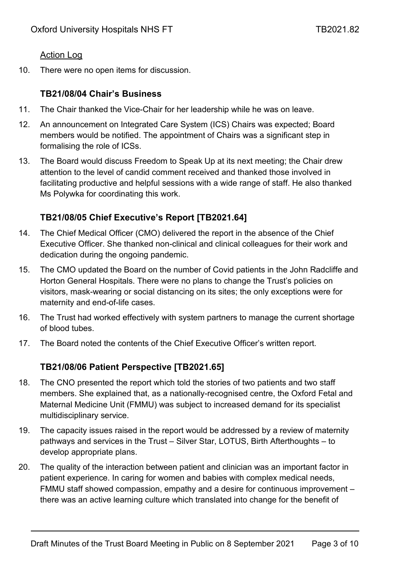## Action Log

10. There were no open items for discussion.

## **TB21/08/04 Chair's Business**

- 11. The Chair thanked the Vice-Chair for her leadership while he was on leave.
- 12. An announcement on Integrated Care System (ICS) Chairs was expected; Board members would be notified. The appointment of Chairs was a significant step in formalising the role of ICSs.
- 13. The Board would discuss Freedom to Speak Up at its next meeting; the Chair drew attention to the level of candid comment received and thanked those involved in facilitating productive and helpful sessions with a wide range of staff. He also thanked Ms Polywka for coordinating this work.

# **TB21/08/05 Chief Executive's Report [TB2021.64]**

- 14. The Chief Medical Officer (CMO) delivered the report in the absence of the Chief Executive Officer. She thanked non-clinical and clinical colleagues for their work and dedication during the ongoing pandemic.
- 15. The CMO updated the Board on the number of Covid patients in the John Radcliffe and Horton General Hospitals. There were no plans to change the Trust's policies on visitors, mask-wearing or social distancing on its sites; the only exceptions were for maternity and end-of-life cases.
- 16. The Trust had worked effectively with system partners to manage the current shortage of blood tubes.
- 17. The Board noted the contents of the Chief Executive Officer's written report.

# **TB21/08/06 Patient Perspective [TB2021.65]**

- 18. The CNO presented the report which told the stories of two patients and two staff members. She explained that, as a nationally-recognised centre, the Oxford Fetal and Maternal Medicine Unit (FMMU) was subject to increased demand for its specialist multidisciplinary service.
- 19. The capacity issues raised in the report would be addressed by a review of maternity pathways and services in the Trust – Silver Star, LOTUS, Birth Afterthoughts – to develop appropriate plans.
- 20. The quality of the interaction between patient and clinician was an important factor in patient experience. In caring for women and babies with complex medical needs, FMMU staff showed compassion, empathy and a desire for continuous improvement – there was an active learning culture which translated into change for the benefit of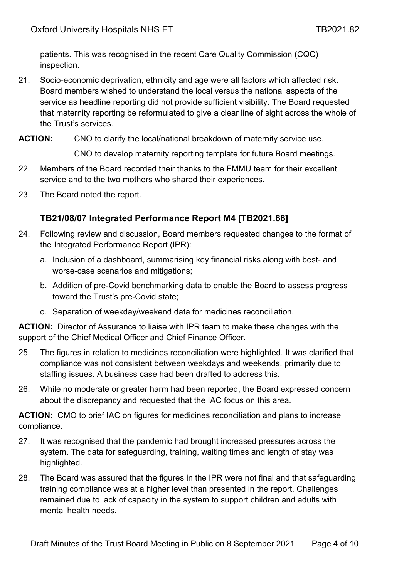patients. This was recognised in the recent Care Quality Commission (CQC) inspection.

- 21. Socio-economic deprivation, ethnicity and age were all factors which affected risk. Board members wished to understand the local versus the national aspects of the service as headline reporting did not provide sufficient visibility. The Board requested that maternity reporting be reformulated to give a clear line of sight across the whole of the Trust's services.
- **ACTION:** CNO to clarify the local/national breakdown of maternity service use.

CNO to develop maternity reporting template for future Board meetings.

- 22. Members of the Board recorded their thanks to the FMMU team for their excellent service and to the two mothers who shared their experiences.
- 23. The Board noted the report.

## **TB21/08/07 Integrated Performance Report M4 [TB2021.66]**

- 24. Following review and discussion, Board members requested changes to the format of the Integrated Performance Report (IPR):
	- a. Inclusion of a dashboard, summarising key financial risks along with best- and worse-case scenarios and mitigations;
	- b. Addition of pre-Covid benchmarking data to enable the Board to assess progress toward the Trust's pre-Covid state;
	- c. Separation of weekday/weekend data for medicines reconciliation.

**ACTION:** Director of Assurance to liaise with IPR team to make these changes with the support of the Chief Medical Officer and Chief Finance Officer.

- 25. The figures in relation to medicines reconciliation were highlighted. It was clarified that compliance was not consistent between weekdays and weekends, primarily due to staffing issues. A business case had been drafted to address this.
- 26. While no moderate or greater harm had been reported, the Board expressed concern about the discrepancy and requested that the IAC focus on this area.

**ACTION:** CMO to brief IAC on figures for medicines reconciliation and plans to increase compliance.

- 27. It was recognised that the pandemic had brought increased pressures across the system. The data for safeguarding, training, waiting times and length of stay was highlighted.
- 28. The Board was assured that the figures in the IPR were not final and that safeguarding training compliance was at a higher level than presented in the report. Challenges remained due to lack of capacity in the system to support children and adults with mental health needs.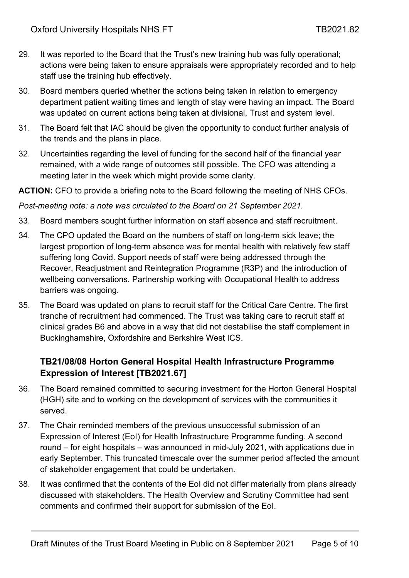- 29. It was reported to the Board that the Trust's new training hub was fully operational; actions were being taken to ensure appraisals were appropriately recorded and to help staff use the training hub effectively.
- 30. Board members queried whether the actions being taken in relation to emergency department patient waiting times and length of stay were having an impact. The Board was updated on current actions being taken at divisional, Trust and system level.
- 31. The Board felt that IAC should be given the opportunity to conduct further analysis of the trends and the plans in place.
- 32. Uncertainties regarding the level of funding for the second half of the financial year remained, with a wide range of outcomes still possible. The CFO was attending a meeting later in the week which might provide some clarity.

#### **ACTION:** CFO to provide a briefing note to the Board following the meeting of NHS CFOs.

*Post-meeting note: a note was circulated to the Board on 21 September 2021.*

- 33. Board members sought further information on staff absence and staff recruitment.
- 34. The CPO updated the Board on the numbers of staff on long-term sick leave; the largest proportion of long-term absence was for mental health with relatively few staff suffering long Covid. Support needs of staff were being addressed through the Recover, Readjustment and Reintegration Programme (R3P) and the introduction of wellbeing conversations. Partnership working with Occupational Health to address barriers was ongoing.
- 35. The Board was updated on plans to recruit staff for the Critical Care Centre. The first tranche of recruitment had commenced. The Trust was taking care to recruit staff at clinical grades B6 and above in a way that did not destabilise the staff complement in Buckinghamshire, Oxfordshire and Berkshire West ICS.

# **TB21/08/08 Horton General Hospital Health Infrastructure Programme Expression of Interest [TB2021.67]**

- 36. The Board remained committed to securing investment for the Horton General Hospital (HGH) site and to working on the development of services with the communities it served.
- 37. The Chair reminded members of the previous unsuccessful submission of an Expression of Interest (EoI) for Health Infrastructure Programme funding. A second round – for eight hospitals – was announced in mid-July 2021, with applications due in early September. This truncated timescale over the summer period affected the amount of stakeholder engagement that could be undertaken.
- 38. It was confirmed that the contents of the EoI did not differ materially from plans already discussed with stakeholders. The Health Overview and Scrutiny Committee had sent comments and confirmed their support for submission of the EoI.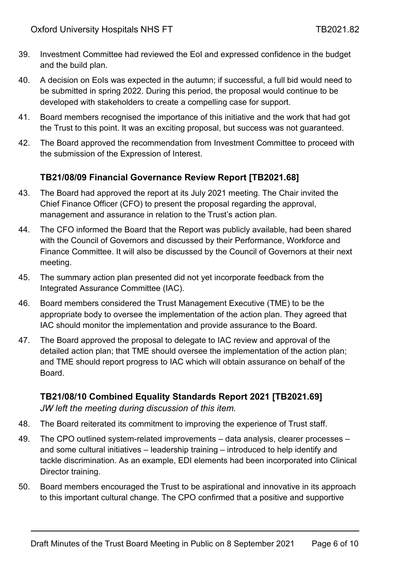- 39. Investment Committee had reviewed the EoI and expressed confidence in the budget and the build plan.
- 40. A decision on EoIs was expected in the autumn; if successful, a full bid would need to be submitted in spring 2022. During this period, the proposal would continue to be developed with stakeholders to create a compelling case for support.
- 41. Board members recognised the importance of this initiative and the work that had got the Trust to this point. It was an exciting proposal, but success was not guaranteed.
- 42. The Board approved the recommendation from Investment Committee to proceed with the submission of the Expression of Interest.

## **TB21/08/09 Financial Governance Review Report [TB2021.68]**

- 43. The Board had approved the report at its July 2021 meeting. The Chair invited the Chief Finance Officer (CFO) to present the proposal regarding the approval, management and assurance in relation to the Trust's action plan.
- 44. The CFO informed the Board that the Report was publicly available, had been shared with the Council of Governors and discussed by their Performance, Workforce and Finance Committee. It will also be discussed by the Council of Governors at their next meeting.
- 45. The summary action plan presented did not yet incorporate feedback from the Integrated Assurance Committee (IAC).
- 46. Board members considered the Trust Management Executive (TME) to be the appropriate body to oversee the implementation of the action plan. They agreed that IAC should monitor the implementation and provide assurance to the Board.
- 47. The Board approved the proposal to delegate to IAC review and approval of the detailed action plan; that TME should oversee the implementation of the action plan; and TME should report progress to IAC which will obtain assurance on behalf of the Board.

## **TB21/08/10 Combined Equality Standards Report 2021 [TB2021.69]** *JW left the meeting during discussion of this item.*

- 48. The Board reiterated its commitment to improving the experience of Trust staff.
- 49. The CPO outlined system-related improvements data analysis, clearer processes and some cultural initiatives – leadership training – introduced to help identify and tackle discrimination. As an example, EDI elements had been incorporated into Clinical Director training.
- 50. Board members encouraged the Trust to be aspirational and innovative in its approach to this important cultural change. The CPO confirmed that a positive and supportive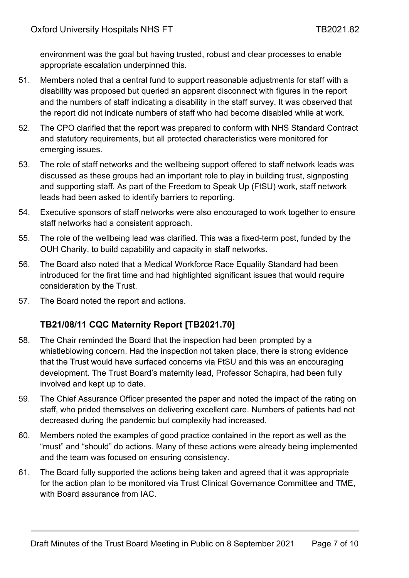environment was the goal but having trusted, robust and clear processes to enable appropriate escalation underpinned this.

- 51. Members noted that a central fund to support reasonable adjustments for staff with a disability was proposed but queried an apparent disconnect with figures in the report and the numbers of staff indicating a disability in the staff survey. It was observed that the report did not indicate numbers of staff who had become disabled while at work.
- 52. The CPO clarified that the report was prepared to conform with NHS Standard Contract and statutory requirements, but all protected characteristics were monitored for emerging issues.
- 53. The role of staff networks and the wellbeing support offered to staff network leads was discussed as these groups had an important role to play in building trust, signposting and supporting staff. As part of the Freedom to Speak Up (FtSU) work, staff network leads had been asked to identify barriers to reporting.
- 54. Executive sponsors of staff networks were also encouraged to work together to ensure staff networks had a consistent approach.
- 55. The role of the wellbeing lead was clarified. This was a fixed-term post, funded by the OUH Charity, to build capability and capacity in staff networks.
- 56. The Board also noted that a Medical Workforce Race Equality Standard had been introduced for the first time and had highlighted significant issues that would require consideration by the Trust.
- 57. The Board noted the report and actions.

# **TB21/08/11 CQC Maternity Report [TB2021.70]**

- 58. The Chair reminded the Board that the inspection had been prompted by a whistleblowing concern. Had the inspection not taken place, there is strong evidence that the Trust would have surfaced concerns via FtSU and this was an encouraging development. The Trust Board's maternity lead, Professor Schapira, had been fully involved and kept up to date.
- 59. The Chief Assurance Officer presented the paper and noted the impact of the rating on staff, who prided themselves on delivering excellent care. Numbers of patients had not decreased during the pandemic but complexity had increased.
- 60. Members noted the examples of good practice contained in the report as well as the "must" and "should" do actions. Many of these actions were already being implemented and the team was focused on ensuring consistency.
- 61. The Board fully supported the actions being taken and agreed that it was appropriate for the action plan to be monitored via Trust Clinical Governance Committee and TME, with Board assurance from IAC.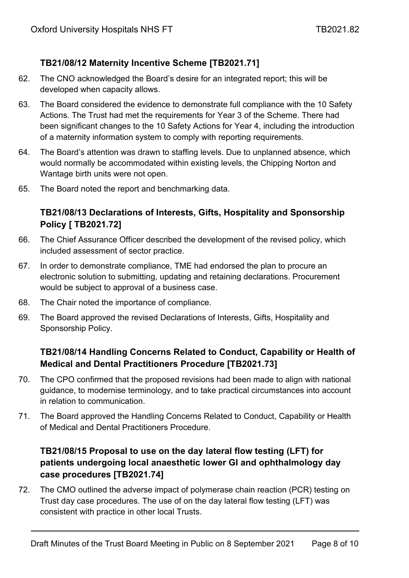# **TB21/08/12 Maternity Incentive Scheme [TB2021.71]**

- 62. The CNO acknowledged the Board's desire for an integrated report; this will be developed when capacity allows.
- 63. The Board considered the evidence to demonstrate full compliance with the 10 Safety Actions. The Trust had met the requirements for Year 3 of the Scheme. There had been significant changes to the 10 Safety Actions for Year 4, including the introduction of a maternity information system to comply with reporting requirements.
- 64. The Board's attention was drawn to staffing levels. Due to unplanned absence, which would normally be accommodated within existing levels, the Chipping Norton and Wantage birth units were not open.
- 65. The Board noted the report and benchmarking data.

# **TB21/08/13 Declarations of Interests, Gifts, Hospitality and Sponsorship Policy [ TB2021.72]**

- 66. The Chief Assurance Officer described the development of the revised policy, which included assessment of sector practice.
- 67. In order to demonstrate compliance, TME had endorsed the plan to procure an electronic solution to submitting, updating and retaining declarations. Procurement would be subject to approval of a business case.
- 68. The Chair noted the importance of compliance.
- 69. The Board approved the revised Declarations of Interests, Gifts, Hospitality and Sponsorship Policy.

# **TB21/08/14 Handling Concerns Related to Conduct, Capability or Health of Medical and Dental Practitioners Procedure [TB2021.73]**

- 70. The CPO confirmed that the proposed revisions had been made to align with national guidance, to modernise terminology, and to take practical circumstances into account in relation to communication.
- 71. The Board approved the Handling Concerns Related to Conduct, Capability or Health of Medical and Dental Practitioners Procedure.

# **TB21/08/15 Proposal to use on the day lateral flow testing (LFT) for patients undergoing local anaesthetic lower GI and ophthalmology day case procedures [TB2021.74]**

72. The CMO outlined the adverse impact of polymerase chain reaction (PCR) testing on Trust day case procedures. The use of on the day lateral flow testing (LFT) was consistent with practice in other local Trusts.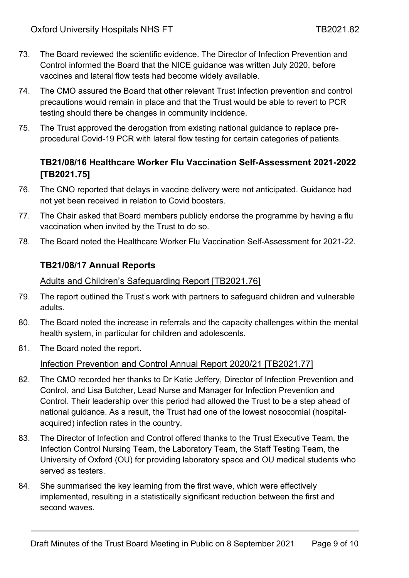- 73. The Board reviewed the scientific evidence. The Director of Infection Prevention and Control informed the Board that the NICE guidance was written July 2020, before vaccines and lateral flow tests had become widely available.
- 74. The CMO assured the Board that other relevant Trust infection prevention and control precautions would remain in place and that the Trust would be able to revert to PCR testing should there be changes in community incidence.
- 75. The Trust approved the derogation from existing national guidance to replace preprocedural Covid-19 PCR with lateral flow testing for certain categories of patients.

## **TB21/08/16 Healthcare Worker Flu Vaccination Self-Assessment 2021-2022 [TB2021.75]**

- 76. The CNO reported that delays in vaccine delivery were not anticipated. Guidance had not yet been received in relation to Covid boosters.
- 77. The Chair asked that Board members publicly endorse the programme by having a flu vaccination when invited by the Trust to do so.
- 78. The Board noted the Healthcare Worker Flu Vaccination Self-Assessment for 2021-22.

## **TB21/08/17 Annual Reports**

#### Adults and Children's Safeguarding Report [TB2021.76]

- 79. The report outlined the Trust's work with partners to safeguard children and vulnerable adults.
- 80. The Board noted the increase in referrals and the capacity challenges within the mental health system, in particular for children and adolescents.
- 81. The Board noted the report.

## Infection Prevention and Control Annual Report 2020/21 [TB2021.77]

- 82. The CMO recorded her thanks to Dr Katie Jeffery, Director of Infection Prevention and Control, and Lisa Butcher, Lead Nurse and Manager for Infection Prevention and Control. Their leadership over this period had allowed the Trust to be a step ahead of national guidance. As a result, the Trust had one of the lowest nosocomial (hospitalacquired) infection rates in the country.
- 83. The Director of Infection and Control offered thanks to the Trust Executive Team, the Infection Control Nursing Team, the Laboratory Team, the Staff Testing Team, the University of Oxford (OU) for providing laboratory space and OU medical students who served as testers.
- 84. She summarised the key learning from the first wave, which were effectively implemented, resulting in a statistically significant reduction between the first and second waves.